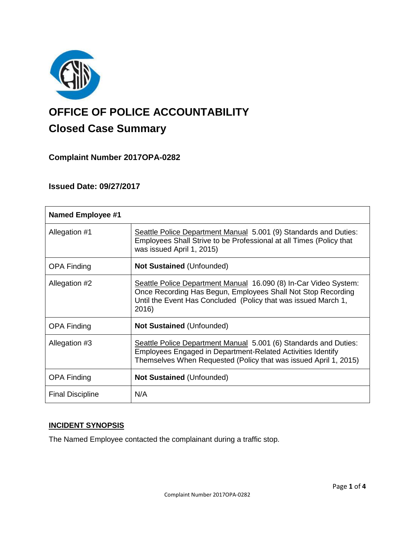

# **OFFICE OF POLICE ACCOUNTABILITY**

# **Closed Case Summary**

## **Complaint Number 2017OPA-0282**

### **Issued Date: 09/27/2017**

| <b>Named Employee #1</b> |                                                                                                                                                                                                             |
|--------------------------|-------------------------------------------------------------------------------------------------------------------------------------------------------------------------------------------------------------|
| Allegation #1            | Seattle Police Department Manual 5.001 (9) Standards and Duties:<br>Employees Shall Strive to be Professional at all Times (Policy that<br>was issued April 1, 2015)                                        |
| <b>OPA Finding</b>       | <b>Not Sustained (Unfounded)</b>                                                                                                                                                                            |
| Allegation #2            | Seattle Police Department Manual 16.090 (8) In-Car Video System:<br>Once Recording Has Begun, Employees Shall Not Stop Recording<br>Until the Event Has Concluded (Policy that was issued March 1,<br>2016) |
| <b>OPA Finding</b>       | <b>Not Sustained (Unfounded)</b>                                                                                                                                                                            |
| Allegation #3            | Seattle Police Department Manual 5.001 (6) Standards and Duties:<br>Employees Engaged in Department-Related Activities Identify<br>Themselves When Requested (Policy that was issued April 1, 2015)         |
| <b>OPA Finding</b>       | <b>Not Sustained (Unfounded)</b>                                                                                                                                                                            |
| <b>Final Discipline</b>  | N/A                                                                                                                                                                                                         |

#### **INCIDENT SYNOPSIS**

The Named Employee contacted the complainant during a traffic stop.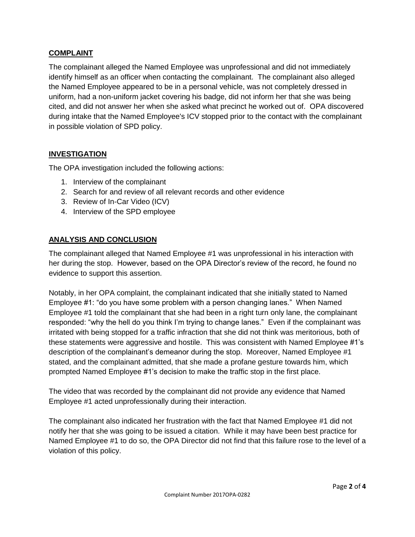#### **COMPLAINT**

The complainant alleged the Named Employee was unprofessional and did not immediately identify himself as an officer when contacting the complainant. The complainant also alleged the Named Employee appeared to be in a personal vehicle, was not completely dressed in uniform, had a non-uniform jacket covering his badge, did not inform her that she was being cited, and did not answer her when she asked what precinct he worked out of. OPA discovered during intake that the Named Employee's ICV stopped prior to the contact with the complainant in possible violation of SPD policy.

#### **INVESTIGATION**

The OPA investigation included the following actions:

- 1. Interview of the complainant
- 2. Search for and review of all relevant records and other evidence
- 3. Review of In-Car Video (ICV)
- 4. Interview of the SPD employee

#### **ANALYSIS AND CONCLUSION**

The complainant alleged that Named Employee #1 was unprofessional in his interaction with her during the stop. However, based on the OPA Director's review of the record, he found no evidence to support this assertion.

Notably, in her OPA complaint, the complainant indicated that she initially stated to Named Employee #1: "do you have some problem with a person changing lanes." When Named Employee #1 told the complainant that she had been in a right turn only lane, the complainant responded: "why the hell do you think I'm trying to change lanes." Even if the complainant was irritated with being stopped for a traffic infraction that she did not think was meritorious, both of these statements were aggressive and hostile. This was consistent with Named Employee #1's description of the complainant's demeanor during the stop. Moreover, Named Employee #1 stated, and the complainant admitted, that she made a profane gesture towards him, which prompted Named Employee #1's decision to make the traffic stop in the first place.

The video that was recorded by the complainant did not provide any evidence that Named Employee #1 acted unprofessionally during their interaction.

The complainant also indicated her frustration with the fact that Named Employee #1 did not notify her that she was going to be issued a citation. While it may have been best practice for Named Employee #1 to do so, the OPA Director did not find that this failure rose to the level of a violation of this policy.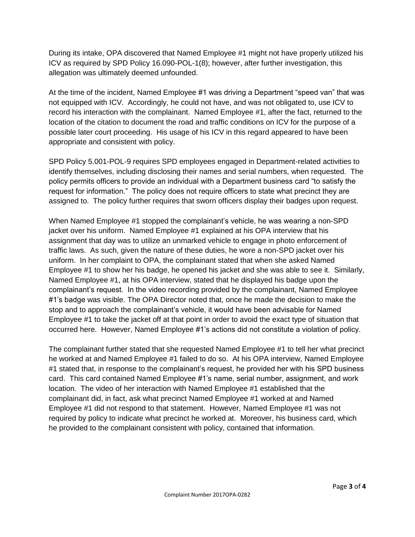During its intake, OPA discovered that Named Employee #1 might not have properly utilized his ICV as required by SPD Policy 16.090-POL-1(8); however, after further investigation, this allegation was ultimately deemed unfounded.

At the time of the incident, Named Employee #1 was driving a Department "speed van" that was not equipped with ICV. Accordingly, he could not have, and was not obligated to, use ICV to record his interaction with the complainant. Named Employee #1, after the fact, returned to the location of the citation to document the road and traffic conditions on ICV for the purpose of a possible later court proceeding. His usage of his ICV in this regard appeared to have been appropriate and consistent with policy.

SPD Policy 5.001-POL-9 requires SPD employees engaged in Department-related activities to identify themselves, including disclosing their names and serial numbers, when requested. The policy permits officers to provide an individual with a Department business card "to satisfy the request for information." The policy does not require officers to state what precinct they are assigned to. The policy further requires that sworn officers display their badges upon request.

When Named Employee #1 stopped the complainant's vehicle, he was wearing a non-SPD jacket over his uniform. Named Employee #1 explained at his OPA interview that his assignment that day was to utilize an unmarked vehicle to engage in photo enforcement of traffic laws. As such, given the nature of these duties, he wore a non-SPD jacket over his uniform. In her complaint to OPA, the complainant stated that when she asked Named Employee #1 to show her his badge, he opened his jacket and she was able to see it. Similarly, Named Employee #1, at his OPA interview, stated that he displayed his badge upon the complainant's request. In the video recording provided by the complainant, Named Employee #1's badge was visible. The OPA Director noted that, once he made the decision to make the stop and to approach the complainant's vehicle, it would have been advisable for Named Employee #1 to take the jacket off at that point in order to avoid the exact type of situation that occurred here. However, Named Employee #1's actions did not constitute a violation of policy.

The complainant further stated that she requested Named Employee #1 to tell her what precinct he worked at and Named Employee #1 failed to do so. At his OPA interview, Named Employee #1 stated that, in response to the complainant's request, he provided her with his SPD business card. This card contained Named Employee #1's name, serial number, assignment, and work location. The video of her interaction with Named Employee #1 established that the complainant did, in fact, ask what precinct Named Employee #1 worked at and Named Employee #1 did not respond to that statement. However, Named Employee #1 was not required by policy to indicate what precinct he worked at. Moreover, his business card, which he provided to the complainant consistent with policy, contained that information.